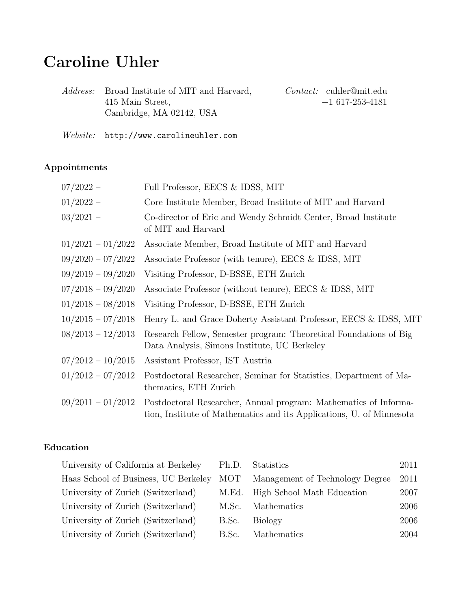# Caroline Uhler

|                                                                                                     | $Context:$ cuhler@mit.edu |
|-----------------------------------------------------------------------------------------------------|---------------------------|
|                                                                                                     | $+1617-253-4181$          |
|                                                                                                     |                           |
| <i>Address:</i> Broad Institute of MIT and Harvard,<br>415 Main Street,<br>Cambridge, MA 02142, USA |                           |

Website: http://www.carolineuhler.com

# Appointments

| $07/2022 -$         | Full Professor, EECS & IDSS, MIT                                                                                                         |
|---------------------|------------------------------------------------------------------------------------------------------------------------------------------|
| $01/2022 -$         | Core Institute Member, Broad Institute of MIT and Harvard                                                                                |
| $03/2021 -$         | Co-director of Eric and Wendy Schmidt Center, Broad Institute<br>of MIT and Harvard                                                      |
| $01/2021 - 01/2022$ | Associate Member, Broad Institute of MIT and Harvard                                                                                     |
| $09/2020 - 07/2022$ | Associate Professor (with tenure), EECS & IDSS, MIT                                                                                      |
| $09/2019 - 09/2020$ | Visiting Professor, D-BSSE, ETH Zurich                                                                                                   |
| $07/2018 - 09/2020$ | Associate Professor (without tenure), EECS & IDSS, MIT                                                                                   |
| $01/2018 - 08/2018$ | Visiting Professor, D-BSSE, ETH Zurich                                                                                                   |
| $10/2015 - 07/2018$ | Henry L. and Grace Doherty Assistant Professor, EECS & IDSS, MIT                                                                         |
| $08/2013 - 12/2013$ | Research Fellow, Semester program: Theoretical Foundations of Big<br>Data Analysis, Simons Institute, UC Berkeley                        |
| $07/2012 - 10/2015$ | Assistant Professor, IST Austria                                                                                                         |
| $01/2012 - 07/2012$ | Postdoctoral Researcher, Seminar for Statistics, Department of Ma-<br>thematics, ETH Zurich                                              |
| $09/2011 - 01/2012$ | Postdoctoral Researcher, Annual program: Mathematics of Informa-<br>tion, Institute of Mathematics and its Applications, U. of Minnesota |

### Education

| University of California at Berkeley | Ph.D. | Statistics                       | 2011 |
|--------------------------------------|-------|----------------------------------|------|
| Haas School of Business, UC Berkeley | МОТ   | Management of Technology Degree  | 2011 |
| University of Zurich (Switzerland)   |       | M.Ed. High School Math Education | 2007 |
| University of Zurich (Switzerland)   | M.Sc. | Mathematics                      | 2006 |
| University of Zurich (Switzerland)   | B.Sc. | <b>Biology</b>                   | 2006 |
| University of Zurich (Switzerland)   | B.Sc. | Mathematics                      | 2004 |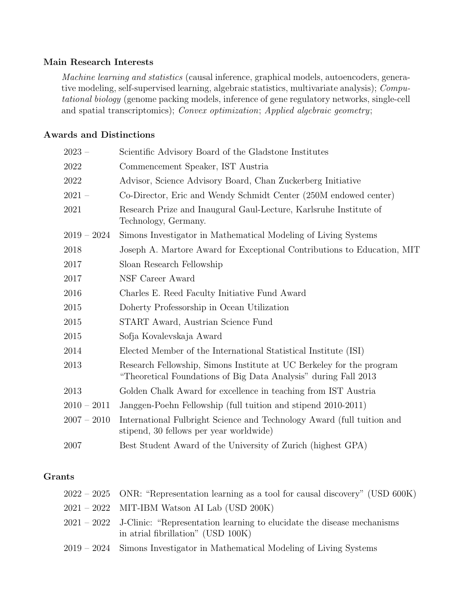#### Main Research Interests

Machine learning and statistics (causal inference, graphical models, autoencoders, generative modeling, self-supervised learning, algebraic statistics, multivariate analysis); Computational biology (genome packing models, inference of gene regulatory networks, single-cell and spatial transcriptomics); Convex optimization; Applied algebraic geometry;

#### Awards and Distinctions

| $2023 -$      | Scientific Advisory Board of the Gladstone Institutes                                                                                   |
|---------------|-----------------------------------------------------------------------------------------------------------------------------------------|
| 2022          | Commencement Speaker, IST Austria                                                                                                       |
| 2022          | Advisor, Science Advisory Board, Chan Zuckerberg Initiative                                                                             |
| $2021 -$      | Co-Director, Eric and Wendy Schmidt Center (250M endowed center)                                                                        |
| 2021          | Research Prize and Inaugural Gaul-Lecture, Karlsruhe Institute of<br>Technology, Germany.                                               |
| $2019 - 2024$ | Simons Investigator in Mathematical Modeling of Living Systems                                                                          |
| 2018          | Joseph A. Martore Award for Exceptional Contributions to Education, MIT                                                                 |
| 2017          | Sloan Research Fellowship                                                                                                               |
| 2017          | NSF Career Award                                                                                                                        |
| 2016          | Charles E. Reed Faculty Initiative Fund Award                                                                                           |
| 2015          | Doherty Professorship in Ocean Utilization                                                                                              |
| 2015          | START Award, Austrian Science Fund                                                                                                      |
| 2015          | Sofja Kovalevskaja Award                                                                                                                |
| 2014          | Elected Member of the International Statistical Institute (ISI)                                                                         |
| 2013          | Research Fellowship, Simons Institute at UC Berkeley for the program<br>"Theoretical Foundations of Big Data Analysis" during Fall 2013 |
| 2013          | Golden Chalk Award for excellence in teaching from IST Austria                                                                          |
| $2010 - 2011$ | Janggen-Poehn Fellowship (full tuition and stipend 2010-2011)                                                                           |
| $2007 - 2010$ | International Fulbright Science and Technology Award (full tuition and<br>stipend, 30 fellows per year worldwide)                       |
| 2007          | Best Student Award of the University of Zurich (highest GPA)                                                                            |
|               |                                                                                                                                         |

#### Grants

| $2022 - 2025$ ONR: "Representation learning as a tool for causal discovery" (USD 600K)                                     |
|----------------------------------------------------------------------------------------------------------------------------|
| $2021 - 2022$ MIT-IBM Watson AI Lab (USD 200K)                                                                             |
| $2021 - 2022$ J-Clinic: "Representation learning to elucidate the disease mechanisms<br>in atrial fibrillation" (USD 100K) |
| $2019 - 2024$ Simons Investigator in Mathematical Modeling of Living Systems                                               |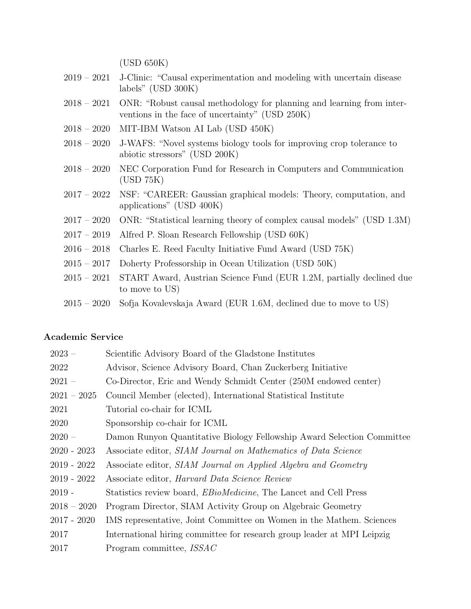(USD 650K)

- 2019 2021 J-Clinic: "Causal experimentation and modeling with uncertain disease labels" (USD 300K)
- 2018 2021 ONR: "Robust causal methodology for planning and learning from interventions in the face of uncertainty" (USD 250K)
- 2018 2020 MIT-IBM Watson AI Lab (USD 450K)
- 2018 2020 J-WAFS: "Novel systems biology tools for improving crop tolerance to abiotic stressors" (USD 200K)
- 2018 2020 NEC Corporation Fund for Research in Computers and Communication (USD 75K)
- 2017 2022 NSF: "CAREER: Gaussian graphical models: Theory, computation, and applications" (USD 400K)
- 2017 2020 ONR: "Statistical learning theory of complex causal models" (USD 1.3M)
- 2017 2019 Alfred P. Sloan Research Fellowship (USD 60K)
- 2016 2018 Charles E. Reed Faculty Initiative Fund Award (USD 75K)
- 2015 2017 Doherty Professorship in Ocean Utilization (USD 50K)
- 2015 2021 START Award, Austrian Science Fund (EUR 1.2M, partially declined due to move to US)
- 2015 2020 Sofja Kovalevskaja Award (EUR 1.6M, declined due to move to US)

#### Academic Service

| $2023 -$      | Scientific Advisory Board of the Gladstone Institutes                    |
|---------------|--------------------------------------------------------------------------|
| 2022          | Advisor, Science Advisory Board, Chan Zuckerberg Initiative              |
| $2021 -$      | Co-Director, Eric and Wendy Schmidt Center (250M endowed center)         |
| $2021 - 2025$ | Council Member (elected), International Statistical Institute            |
| 2021          | Tutorial co-chair for ICML                                               |
| 2020          | Sponsorship co-chair for ICML                                            |
| $2020 -$      | Damon Runyon Quantitative Biology Fellowship Award Selection Committee   |
| $2020 - 2023$ | Associate editor, SIAM Journal on Mathematics of Data Science            |
| $2019 - 2022$ | Associate editor, SIAM Journal on Applied Algebra and Geometry           |
| $2019 - 2022$ | Associate editor, <i>Harvard Data Science Review</i>                     |
| $2019 -$      | Statistics review board, <i>EBioMedicine</i> , The Lancet and Cell Press |
| $2018 - 2020$ | Program Director, SIAM Activity Group on Algebraic Geometry              |
| $2017 - 2020$ | IMS representative, Joint Committee on Women in the Mathem. Sciences     |
| 2017          | International hiring committee for research group leader at MPI Leipzig  |
| 2017          | Program committee, <i>ISSAC</i>                                          |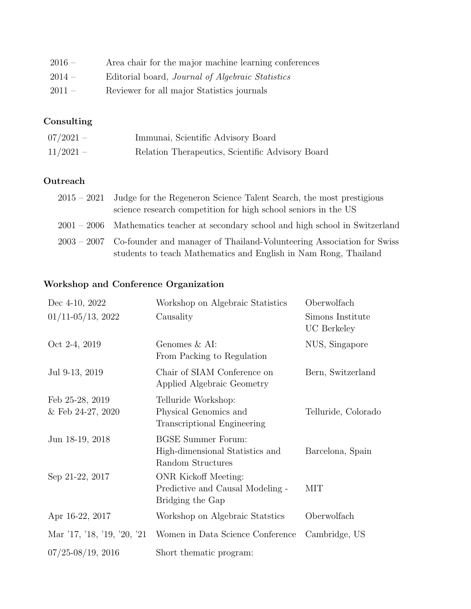| $2016 -$ | Area chair for the major machine learning conferences   |
|----------|---------------------------------------------------------|
| $2014 -$ | Editorial board, <i>Journal of Algebraic Statistics</i> |
| $2011 -$ | Reviewer for all major Statistics journals              |

# Consulting

| $07/2021 -$ | Immunai, Scientific Advisory Board               |
|-------------|--------------------------------------------------|
| $11/2021 -$ | Relation Therapeutics, Scientific Advisory Board |

### **Outreach**

| $2015 - 2021$ Judge for the Regeneron Science Talent Search, the most prestigious    |
|--------------------------------------------------------------------------------------|
| science research competition for high school seniors in the US                       |
| $2001 - 2006$ Mathematics teacher at secondary school and high school in Switzerland |
| 2003 – 2007 Co-founder and manager of Thailand-Volunteering Association for Swiss    |
| students to teach Mathematics and English in Nam Rong, Thailand                      |

# Workshop and Conference Organization

| Dec 4-10, 2022                       | Workshop on Algebraic Statistics                                                    | Oberwolfach                            |
|--------------------------------------|-------------------------------------------------------------------------------------|----------------------------------------|
| $01/11 - 05/13$ , 2022               | Causality                                                                           | Simons Institute<br><b>UC</b> Berkeley |
| Oct 2-4, 2019                        | Genomes & AI:<br>From Packing to Regulation                                         | NUS, Singapore                         |
| Jul 9-13, 2019                       | Chair of SIAM Conference on<br>Applied Algebraic Geometry                           | Bern, Switzerland                      |
| Feb 25-28, 2019<br>& Feb 24-27, 2020 | Telluride Workshop:<br>Physical Genomics and<br>Transcriptional Engineering         | Telluride, Colorado                    |
| Jun 18-19, 2018                      | <b>BGSE Summer Forum:</b><br>High-dimensional Statistics and<br>Random Structures   | Barcelona, Spain                       |
| Sep 21-22, 2017                      | <b>ONR</b> Kickoff Meeting:<br>Predictive and Causal Modeling -<br>Bridging the Gap | MIT                                    |
| Apr 16-22, 2017                      | Workshop on Algebraic Statstics                                                     | Oberwolfach                            |
| Mar '17, '18, '19, '20, '21          | Women in Data Science Conference                                                    | Cambridge, US                          |
| $07/25 - 08/19$ , 2016               | Short thematic program:                                                             |                                        |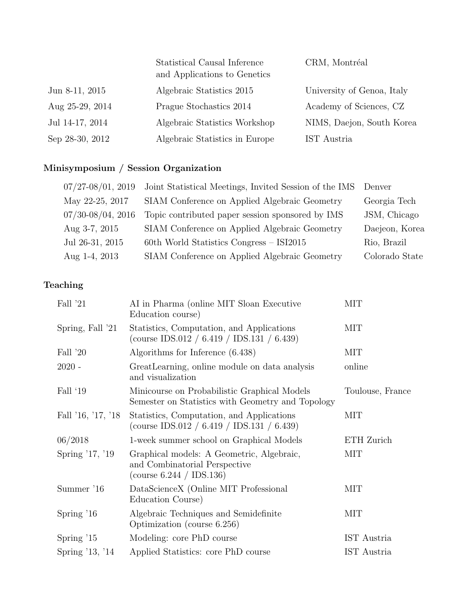|                      | Statistical Causal Inference<br>and Applications to Genetics | CRM, Montréal              |
|----------------------|--------------------------------------------------------------|----------------------------|
| Jun $8-11$ , $2015$  | Algebraic Statistics 2015                                    | University of Genoa, Italy |
| Aug $25-29$ , $2014$ | Prague Stochastics 2014                                      | Academy of Sciences, CZ    |
| Jul 14-17, 2014      | Algebraic Statistics Workshop                                | NIMS, Daejon, South Korea  |
| Sep 28-30, 2012      | Algebraic Statistics in Europe                               | IST Austria                |

# Minisymposium / Session Organization

| $07/27 - 08/01$ , 2019 | Joint Statistical Meetings, Invited Session of the IMS Denver |                |
|------------------------|---------------------------------------------------------------|----------------|
| May 22-25, 2017        | SIAM Conference on Applied Algebraic Geometry                 | Georgia Tech   |
| $07/30 - 08/04$ , 2016 | Topic contributed paper session sponsored by IMS              | JSM, Chicago   |
| Aug $3-7, 2015$        | SIAM Conference on Applied Algebraic Geometry                 | Daejeon, Korea |
| Jul 26-31, 2015        | $60th$ World Statistics Congress – ISI2015                    | Rio, Brazil    |
| Aug 1-4, 2013          | SIAM Conference on Applied Algebraic Geometry                 | Colorado State |

# Teaching

| Fall '21           | AI in Pharma (online MIT Sloan Executive<br>Education course)                                             | MIT              |
|--------------------|-----------------------------------------------------------------------------------------------------------|------------------|
| Spring, Fall '21   | Statistics, Computation, and Applications<br>(course IDS.012 / 6.419 / IDS.131 / 6.439)                   | MIT              |
| Fall '20           | Algorithms for Inference (6.438)                                                                          | MIT              |
| $2020 -$           | GreatLearning, online module on data analysis<br>and visualization                                        | online           |
| Fall '19           | Minicourse on Probabilistic Graphical Models<br>Semester on Statistics with Geometry and Topology         | Toulouse, France |
| Fall '16, '17, '18 | Statistics, Computation, and Applications<br>(course IDS.012 / 6.419 / IDS.131 / 6.439)                   | MIT              |
| 06/2018            | 1-week summer school on Graphical Models                                                                  | ETH Zurich       |
| Spring '17, '19    | Graphical models: A Geometric, Algebraic,<br>and Combinatorial Perspective<br>(course $6.244 / IDS.136$ ) | <b>MIT</b>       |
| Summer '16         | DataScienceX (Online MIT Professional<br>Education Course)                                                | MIT              |
| Spring $16$        | Algebraic Techniques and Semidefinite<br>Optimization (course 6.256)                                      | <b>MIT</b>       |
| Spring $15$        | Modeling: core PhD course                                                                                 | IST Austria      |
| Spring '13, '14    | Applied Statistics: core PhD course                                                                       | IST Austria      |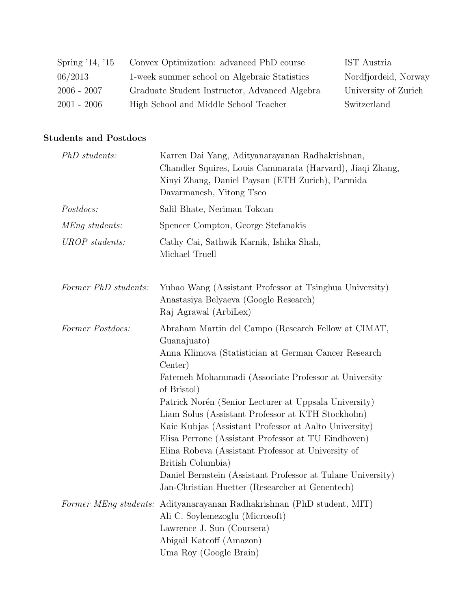| Spring '14, '15 | Convex Optimization: advanced PhD course      | IST Austria          |
|-----------------|-----------------------------------------------|----------------------|
| 06/2013         | 1-week summer school on Algebraic Statistics  | Nordfjordeid, Norway |
| $2006 - 2007$   | Graduate Student Instructor, Advanced Algebra | University of Zurich |
| $2001 - 2006$   | High School and Middle School Teacher         | Switzerland          |

### Students and Postdocs

| PhD students:        | Karren Dai Yang, Adityanarayanan Radhakrishnan,<br>Chandler Squires, Louis Cammarata (Harvard), Jiaqi Zhang,<br>Xinyi Zhang, Daniel Paysan (ETH Zurich), Parmida<br>Davarmanesh, Yitong Tseo                                                                                                                                                                                                                                                                                                                                                                                                                                            |
|----------------------|-----------------------------------------------------------------------------------------------------------------------------------------------------------------------------------------------------------------------------------------------------------------------------------------------------------------------------------------------------------------------------------------------------------------------------------------------------------------------------------------------------------------------------------------------------------------------------------------------------------------------------------------|
| Postdocs:            | Salil Bhate, Neriman Tokcan                                                                                                                                                                                                                                                                                                                                                                                                                                                                                                                                                                                                             |
| MEng students:       | Spencer Compton, George Stefanakis                                                                                                                                                                                                                                                                                                                                                                                                                                                                                                                                                                                                      |
| UROP students:       | Cathy Cai, Sathwik Karnik, Ishika Shah,<br>Michael Truell                                                                                                                                                                                                                                                                                                                                                                                                                                                                                                                                                                               |
| Former PhD students: | Yuhao Wang (Assistant Professor at Tsinghua University)<br>Anastasiya Belyaeva (Google Research)<br>Raj Agrawal (ArbiLex)                                                                                                                                                                                                                                                                                                                                                                                                                                                                                                               |
| Former Postdocs:     | Abraham Martin del Campo (Research Fellow at CIMAT,<br>Guanajuato)<br>Anna Klimova (Statistician at German Cancer Research<br>Center)<br>Fatemeh Mohammadi (Associate Professor at University<br>of Bristol)<br>Patrick Norén (Senior Lecturer at Uppsala University)<br>Liam Solus (Assistant Professor at KTH Stockholm)<br>Kaie Kubjas (Assistant Professor at Aalto University)<br>Elisa Perrone (Assistant Professor at TU Eindhoven)<br>Elina Robeva (Assistant Professor at University of<br>British Columbia)<br>Daniel Bernstein (Assistant Professor at Tulane University)<br>Jan-Christian Huetter (Researcher at Genentech) |
|                      | Former MEng students: Adityanarayanan Radhakrishnan (PhD student, MIT)<br>Ali C. Soylemezoglu (Microsoft)<br>Lawrence J. Sun (Coursera)<br>Abigail Katcoff (Amazon)<br>Uma Roy (Google Brain)                                                                                                                                                                                                                                                                                                                                                                                                                                           |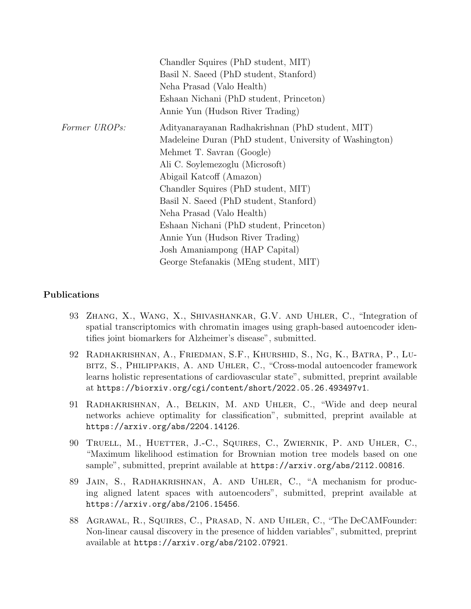|               | Chandler Squires (PhD student, MIT)                     |
|---------------|---------------------------------------------------------|
|               | Basil N. Saeed (PhD student, Stanford)                  |
|               | Neha Prasad (Valo Health)                               |
|               | Eshaan Nichani (PhD student, Princeton)                 |
|               | Annie Yun (Hudson River Trading)                        |
| Former UROPs: | Adityanarayanan Radhakrishnan (PhD student, MIT)        |
|               | Madeleine Duran (PhD student, University of Washington) |
|               | Mehmet T. Savran (Google)                               |
|               | Ali C. Soylemezoglu (Microsoft)                         |
|               | Abigail Katcoff (Amazon)                                |
|               | Chandler Squires (PhD student, MIT)                     |
|               | Basil N. Saeed (PhD student, Stanford)                  |
|               | Neha Prasad (Valo Health)                               |
|               | Eshaan Nichani (PhD student, Princeton)                 |
|               | Annie Yun (Hudson River Trading)                        |
|               | Josh Amaniampong (HAP Capital)                          |
|               | George Stefanakis (MEng student, MIT)                   |

#### Publications

- 93 Zhang, X., Wang, X., Shivashankar, G.V. and Uhler, C., "Integration of spatial transcriptomics with chromatin images using graph-based autoencoder identifies joint biomarkers for Alzheimer's disease", submitted.
- 92 Radhakrishnan, A., Friedman, S.F., Khurshid, S., Ng, K., Batra, P., Lubitz, S., Philippakis, A. and Uhler, C., "Cross-modal autoencoder framework learns holistic representations of cardiovascular state", submitted, preprint available at https://biorxiv.org/cgi/content/short/2022.05.26.493497v1.
- 91 Radhakrishnan, A., Belkin, M. and Uhler, C., "Wide and deep neural networks achieve optimality for classification", submitted, preprint available at https://arxiv.org/abs/2204.14126.
- 90 Truell, M., Huetter, J.-C., Squires, C., Zwiernik, P. and Uhler, C., "Maximum likelihood estimation for Brownian motion tree models based on one sample", submitted, preprint available at https://arxiv.org/abs/2112.00816.
- 89 Jain, S., Radhakrishnan, A. and Uhler, C., "A mechanism for producing aligned latent spaces with autoencoders", submitted, preprint available at https://arxiv.org/abs/2106.15456.
- 88 Agrawal, R., Squires, C., Prasad, N. and Uhler, C., "The DeCAMFounder: Non-linear causal discovery in the presence of hidden variables", submitted, preprint available at https://arxiv.org/abs/2102.07921.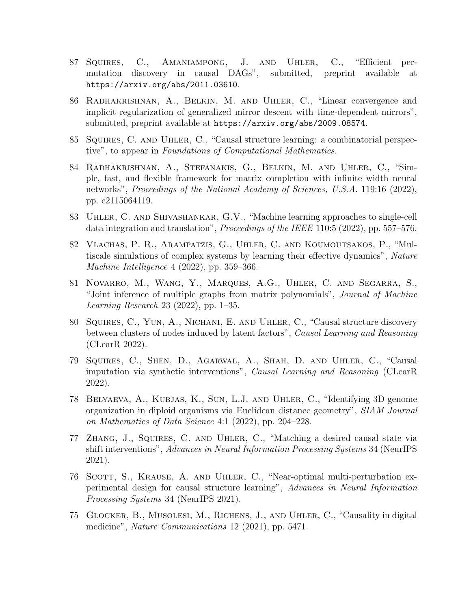- 87 Squires, C., Amaniampong, J. and Uhler, C., "Efficient permutation discovery in causal DAGs", submitted, preprint available at https://arxiv.org/abs/2011.03610.
- 86 Radhakrishnan, A., Belkin, M. and Uhler, C., "Linear convergence and implicit regularization of generalized mirror descent with time-dependent mirrors", submitted, preprint available at https://arxiv.org/abs/2009.08574.
- 85 Squires, C. and Uhler, C., "Causal structure learning: a combinatorial perspective", to appear in Foundations of Computational Mathematics.
- 84 Radhakrishnan, A., Stefanakis, G., Belkin, M. and Uhler, C., "Simple, fast, and flexible framework for matrix completion with infinite width neural networks", Proceedings of the National Academy of Sciences, U.S.A. 119:16 (2022), pp. e2115064119.
- 83 Uhler, C. and Shivashankar, G.V., "Machine learning approaches to single-cell data integration and translation", *Proceedings of the IEEE* 110:5 (2022), pp. 557–576.
- 82 Vlachas, P. R., Arampatzis, G., Uhler, C. and Koumoutsakos, P., "Multiscale simulations of complex systems by learning their effective dynamics", Nature Machine Intelligence 4 (2022), pp. 359–366.
- 81 Novarro, M., Wang, Y., Marques, A.G., Uhler, C. and Segarra, S., "Joint inference of multiple graphs from matrix polynomials", Journal of Machine Learning Research 23 (2022), pp. 1–35.
- 80 Squires, C., Yun, A., Nichani, E. and Uhler, C., "Causal structure discovery between clusters of nodes induced by latent factors", Causal Learning and Reasoning (CLearR 2022).
- 79 Squires, C., Shen, D., Agarwal, A., Shah, D. and Uhler, C., "Causal imputation via synthetic interventions", Causal Learning and Reasoning (CLearR 2022).
- 78 Belyaeva, A., Kubjas, K., Sun, L.J. and Uhler, C., "Identifying 3D genome organization in diploid organisms via Euclidean distance geometry", SIAM Journal on Mathematics of Data Science 4:1 (2022), pp. 204–228.
- 77 Zhang, J., Squires, C. and Uhler, C., "Matching a desired causal state via shift interventions", Advances in Neural Information Processing Systems 34 (NeurIPS 2021).
- 76 SCOTT, S., KRAUSE, A. AND UHLER, C., "Near-optimal multi-perturbation experimental design for causal structure learning", Advances in Neural Information Processing Systems 34 (NeurIPS 2021).
- 75 Glocker, B., Musolesi, M., Richens, J., and Uhler, C., "Causality in digital medicine", *Nature Communications* 12 (2021), pp. 5471.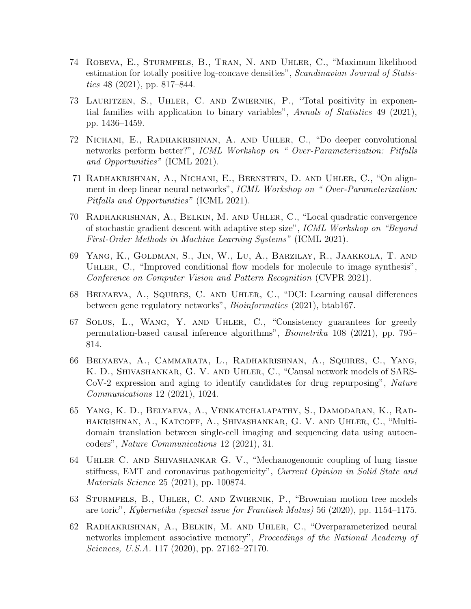- 74 Robeva, E., Sturmfels, B., Tran, N. and Uhler, C., "Maximum likelihood estimation for totally positive log-concave densities", Scandinavian Journal of Statistics 48 (2021), pp. 817–844.
- 73 Lauritzen, S., Uhler, C. and Zwiernik, P., "Total positivity in exponential families with application to binary variables", Annals of Statistics 49 (2021), pp. 1436–1459.
- 72 Nichani, E., Radhakrishnan, A. and Uhler, C., "Do deeper convolutional networks perform better?", ICML Workshop on " Over-Parameterization: Pitfalls and Opportunities" (ICML 2021).
- 71 Radhakrishnan, A., Nichani, E., Bernstein, D. and Uhler, C., "On alignment in deep linear neural networks", ICML Workshop on "Over-Parameterization: Pitfalls and Opportunities" (ICML 2021).
- 70 Radhakrishnan, A., Belkin, M. and Uhler, C., "Local quadratic convergence of stochastic gradient descent with adaptive step size", ICML Workshop on "Beyond First-Order Methods in Machine Learning Systems" (ICML 2021).
- 69 Yang, K., Goldman, S., Jin, W., Lu, A., Barzilay, R., Jaakkola, T. and Uhler, C., "Improved conditional flow models for molecule to image synthesis", Conference on Computer Vision and Pattern Recognition (CVPR 2021).
- 68 Belyaeva, A., Squires, C. and Uhler, C., "DCI: Learning causal differences between gene regulatory networks", Bioinformatics (2021), btab167.
- 67 Solus, L., Wang, Y. and Uhler, C., "Consistency guarantees for greedy permutation-based causal inference algorithms", Biometrika 108 (2021), pp. 795– 814.
- 66 Belyaeva, A., Cammarata, L., Radhakrishnan, A., Squires, C., Yang, K. D., Shivashankar, G. V. and Uhler, C., "Causal network models of SARS-CoV-2 expression and aging to identify candidates for drug repurposing", Nature Communications 12 (2021), 1024.
- 65 Yang, K. D., Belyaeva, A., Venkatchalapathy, S., Damodaran, K., Radhakrishnan, A., Katcoff, A., Shivashankar, G. V. and Uhler, C., "Multidomain translation between single-cell imaging and sequencing data using autoencoders", Nature Communications 12 (2021), 31.
- 64 Uhler C. and Shivashankar G. V., "Mechanogenomic coupling of lung tissue stiffness, EMT and coronavirus pathogenicity", Current Opinion in Solid State and Materials Science 25 (2021), pp. 100874.
- 63 Sturmfels, B., Uhler, C. and Zwiernik, P., "Brownian motion tree models are toric", Kybernetika (special issue for Frantisek Matus) 56 (2020), pp. 1154–1175.
- 62 Radhakrishnan, A., Belkin, M. and Uhler, C., "Overparameterized neural networks implement associative memory", Proceedings of the National Academy of Sciences, U.S.A. 117 (2020), pp. 27162–27170.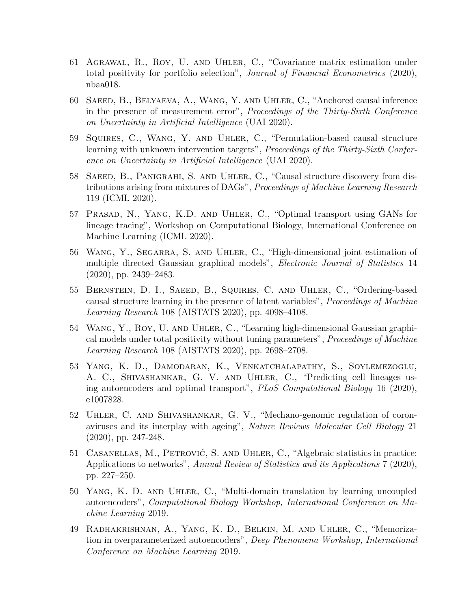- 61 Agrawal, R., Roy, U. and Uhler, C., "Covariance matrix estimation under total positivity for portfolio selection", Journal of Financial Econometrics (2020), nbaa018.
- 60 Saeed, B., Belyaeva, A., Wang, Y. and Uhler, C., "Anchored causal inference in the presence of measurement error", Proceedings of the Thirty-Sixth Conference on Uncertainty in Artificial Intelligence (UAI 2020).
- 59 Squires, C., Wang, Y. and Uhler, C., "Permutation-based causal structure learning with unknown intervention targets", Proceedings of the Thirty-Sixth Conference on Uncertainty in Artificial Intelligence (UAI 2020).
- 58 Saeed, B., Panigrahi, S. and Uhler, C., "Causal structure discovery from distributions arising from mixtures of DAGs", Proceedings of Machine Learning Research 119 (ICML 2020).
- 57 Prasad, N., Yang, K.D. and Uhler, C., "Optimal transport using GANs for lineage tracing", Workshop on Computational Biology, International Conference on Machine Learning (ICML 2020).
- 56 Wang, Y., Segarra, S. and Uhler, C., "High-dimensional joint estimation of multiple directed Gaussian graphical models", *Electronic Journal of Statistics* 14 (2020), pp. 2439–2483.
- 55 Bernstein, D. I., Saeed, B., Squires, C. and Uhler, C., "Ordering-based causal structure learning in the presence of latent variables", Proceedings of Machine Learning Research 108 (AISTATS 2020), pp. 4098–4108.
- 54 Wang, Y., Roy, U. and Uhler, C., "Learning high-dimensional Gaussian graphical models under total positivity without tuning parameters", Proceedings of Machine Learning Research 108 (AISTATS 2020), pp. 2698–2708.
- 53 Yang, K. D., Damodaran, K., Venkatchalapathy, S., Soylemezoglu, A. C., Shivashankar, G. V. and Uhler, C., "Predicting cell lineages using autoencoders and optimal transport", PLoS Computational Biology 16 (2020), e1007828.
- 52 Uhler, C. and Shivashankar, G. V., "Mechano-genomic regulation of coronaviruses and its interplay with ageing", Nature Reviews Molecular Cell Biology 21 (2020), pp. 247-248.
- 51 CASANELLAS, M., PETROVIĆ, S. AND UHLER, C., "Algebraic statistics in practice: Applications to networks", Annual Review of Statistics and its Applications 7 (2020), pp. 227–250.
- 50 Yang, K. D. and Uhler, C., "Multi-domain translation by learning uncoupled autoencoders", Computational Biology Workshop, International Conference on Machine Learning 2019.
- 49 Radhakrishnan, A., Yang, K. D., Belkin, M. and Uhler, C., "Memorization in overparameterized autoencoders", Deep Phenomena Workshop, International Conference on Machine Learning 2019.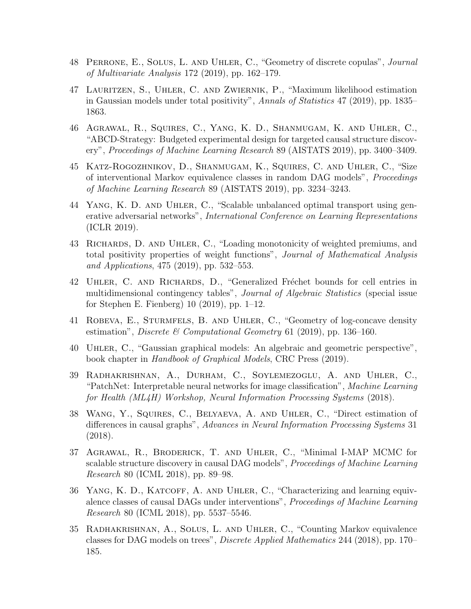- 48 Perrone, E., Solus, L. and Uhler, C., "Geometry of discrete copulas", Journal of Multivariate Analysis 172 (2019), pp. 162–179.
- 47 Lauritzen, S., Uhler, C. and Zwiernik, P., "Maximum likelihood estimation in Gaussian models under total positivity", Annals of Statistics 47 (2019), pp. 1835– 1863.
- 46 Agrawal, R., Squires, C., Yang, K. D., Shanmugam, K. and Uhler, C., "ABCD-Strategy: Budgeted experimental design for targeted causal structure discovery", Proceedings of Machine Learning Research 89 (AISTATS 2019), pp. 3400–3409.
- 45 Katz-Rogozhnikov, D., Shanmugam, K., Squires, C. and Uhler, C., "Size of interventional Markov equivalence classes in random DAG models", Proceedings of Machine Learning Research 89 (AISTATS 2019), pp. 3234–3243.
- 44 Yang, K. D. and Uhler, C., "Scalable unbalanced optimal transport using generative adversarial networks", International Conference on Learning Representations (ICLR 2019).
- 43 Richards, D. and Uhler, C., "Loading monotonicity of weighted premiums, and total positivity properties of weight functions", Journal of Mathematical Analysis and Applications, 475 (2019), pp. 532–553.
- 42 UHLER, C. AND RICHARDS, D., "Generalized Fréchet bounds for cell entries in multidimensional contingency tables", Journal of Algebraic Statistics (special issue for Stephen E. Fienberg) 10 (2019), pp. 1–12.
- 41 Robeva, E., Sturmfels, B. and Uhler, C., "Geometry of log-concave density estimation", *Discrete* & Computational Geometry 61 (2019), pp. 136–160.
- 40 Uhler, C., "Gaussian graphical models: An algebraic and geometric perspective", book chapter in Handbook of Graphical Models, CRC Press (2019).
- 39 Radhakrishnan, A., Durham, C., Soylemezoglu, A. and Uhler, C., "PatchNet: Interpretable neural networks for image classification", Machine Learning for Health (ML4H) Workshop, Neural Information Processing Systems (2018).
- 38 Wang, Y., Squires, C., Belyaeva, A. and Uhler, C., "Direct estimation of differences in causal graphs", Advances in Neural Information Processing Systems 31 (2018).
- 37 Agrawal, R., Broderick, T. and Uhler, C., "Minimal I-MAP MCMC for scalable structure discovery in causal DAG models", Proceedings of Machine Learning Research 80 (ICML 2018), pp. 89–98.
- 36 YANG, K. D., KATCOFF, A. AND UHLER, C., "Characterizing and learning equivalence classes of causal DAGs under interventions", Proceedings of Machine Learning Research 80 (ICML 2018), pp. 5537–5546.
- 35 Radhakrishnan, A., Solus, L. and Uhler, C., "Counting Markov equivalence classes for DAG models on trees", Discrete Applied Mathematics 244 (2018), pp. 170– 185.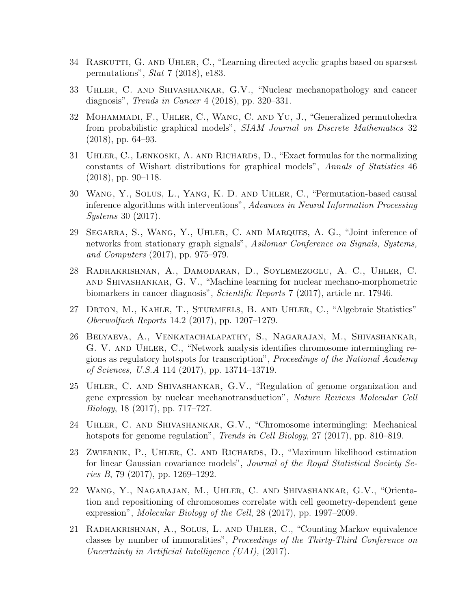- 34 RASKUTTI, G. AND UHLER, C., "Learning directed acyclic graphs based on sparsest permutations", Stat 7 (2018), e183.
- 33 Uhler, C. and Shivashankar, G.V., "Nuclear mechanopathology and cancer diagnosis", Trends in Cancer 4 (2018), pp. 320–331.
- 32 MOHAMMADI, F., UHLER, C., WANG, C. AND YU, J., "Generalized permutohedra from probabilistic graphical models", SIAM Journal on Discrete Mathematics 32 (2018), pp. 64–93.
- 31 Uhler, C., Lenkoski, A. and Richards, D., "Exact formulas for the normalizing constants of Wishart distributions for graphical models", Annals of Statistics 46  $(2018)$ , pp. 90–118.
- 30 Wang, Y., Solus, L., Yang, K. D. and Uhler, C., "Permutation-based causal inference algorithms with interventions", Advances in Neural Information Processing Systems 30 (2017).
- 29 Segarra, S., Wang, Y., Uhler, C. and Marques, A. G., "Joint inference of networks from stationary graph signals", Asilomar Conference on Signals, Systems, and Computers (2017), pp. 975–979.
- 28 Radhakrishnan, A., Damodaran, D., Soylemezoglu, A. C., Uhler, C. and Shivashankar, G. V., "Machine learning for nuclear mechano-morphometric biomarkers in cancer diagnosis", Scientific Reports 7 (2017), article nr. 17946.
- 27 Drton, M., Kahle, T., Sturmfels, B. and Uhler, C., "Algebraic Statistics" Oberwolfach Reports 14.2 (2017), pp. 1207–1279.
- 26 Belyaeva, A., Venkatachalapathy, S., Nagarajan, M., Shivashankar, G. V. and Uhler, C., "Network analysis identifies chromosome intermingling regions as regulatory hotspots for transcription", Proceedings of the National Academy of Sciences, U.S.A 114 (2017), pp. 13714–13719.
- 25 Uhler, C. and Shivashankar, G.V., "Regulation of genome organization and gene expression by nuclear mechanotransduction", Nature Reviews Molecular Cell Biology, 18 (2017), pp. 717–727.
- 24 Uhler, C. and Shivashankar, G.V., "Chromosome intermingling: Mechanical hotspots for genome regulation", *Trends in Cell Biology*, 27 (2017), pp. 810–819.
- 23 Zwiernik, P., Uhler, C. and Richards, D., "Maximum likelihood estimation for linear Gaussian covariance models", Journal of the Royal Statistical Society Series B, 79 (2017), pp. 1269–1292.
- 22 Wang, Y., Nagarajan, M., Uhler, C. and Shivashankar, G.V., "Orientation and repositioning of chromosomes correlate with cell geometry-dependent gene expression", *Molecular Biology of the Cell*, 28 (2017), pp. 1997–2009.
- 21 Radhakrishnan, A., Solus, L. and Uhler, C., "Counting Markov equivalence classes by number of immoralities", Proceedings of the Thirty-Third Conference on Uncertainty in Artificial Intelligence (UAI), (2017).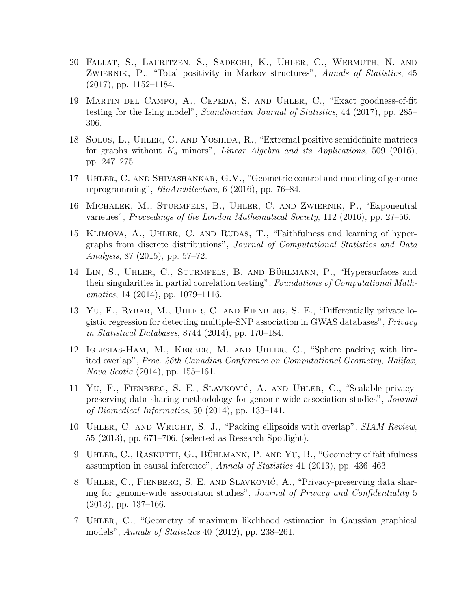- 20 Fallat, S., Lauritzen, S., Sadeghi, K., Uhler, C., Wermuth, N. and ZWIERNIK, P., "Total positivity in Markov structures", Annals of Statistics, 45 (2017), pp. 1152–1184.
- 19 Martin del Campo, A., Cepeda, S. and Uhler, C., "Exact goodness-of-fit testing for the Ising model", Scandinavian Journal of Statistics, 44 (2017), pp. 285– 306.
- 18 Solus, L., Uhler, C. and Yoshida, R., "Extremal positive semidefinite matrices for graphs without  $K_5$  minors", Linear Algebra and its Applications, 509 (2016), pp. 247–275.
- 17 Uhler, C. and Shivashankar, G.V., "Geometric control and modeling of genome reprogramming", BioArchitecture, 6 (2016), pp. 76–84.
- 16 Michalek, M., Sturmfels, B., Uhler, C. and Zwiernik, P., "Exponential varieties", Proceedings of the London Mathematical Society, 112 (2016), pp. 27–56.
- 15 Klimova, A., Uhler, C. and Rudas, T., "Faithfulness and learning of hypergraphs from discrete distributions", Journal of Computational Statistics and Data Analysis, 87 (2015), pp. 57–72.
- 14 LIN, S., UHLER, C., STURMFELS, B. AND BÜHLMANN, P., "Hypersurfaces and their singularities in partial correlation testing", Foundations of Computational Mathematics, 14 (2014), pp. 1079–1116.
- 13 Yu, F., Rybar, M., Uhler, C. and Fienberg, S. E., "Differentially private logistic regression for detecting multiple-SNP association in GWAS databases", Privacy in Statistical Databases, 8744 (2014), pp. 170–184.
- 12 Iglesias-Ham, M., Kerber, M. and Uhler, C., "Sphere packing with limited overlap", Proc. 26th Canadian Conference on Computational Geometry, Halifax, Nova Scotia (2014), pp. 155–161.
- 11 YU, F., FIENBERG, S. E., SLAVKOVIĆ, A. AND UHLER, C., "Scalable privacypreserving data sharing methodology for genome-wide association studies", Journal of Biomedical Informatics, 50 (2014), pp. 133–141.
- 10 Uhler, C. and Wright, S. J., "Packing ellipsoids with overlap", SIAM Review, 55 (2013), pp. 671–706. (selected as Research Spotlight).
- 9 UHLER, C., RASKUTTI, G., BÜHLMANN, P. AND YU, B., "Geometry of faithfulness assumption in causal inference", Annals of Statistics 41 (2013), pp. 436–463.
- 8 UHLER, C., FIENBERG, S. E. AND SLAVKOVIĆ, A., "Privacy-preserving data sharing for genome-wide association studies", Journal of Privacy and Confidentiality 5 (2013), pp. 137–166.
- 7 Uhler, C., "Geometry of maximum likelihood estimation in Gaussian graphical models", Annals of Statistics 40 (2012), pp. 238–261.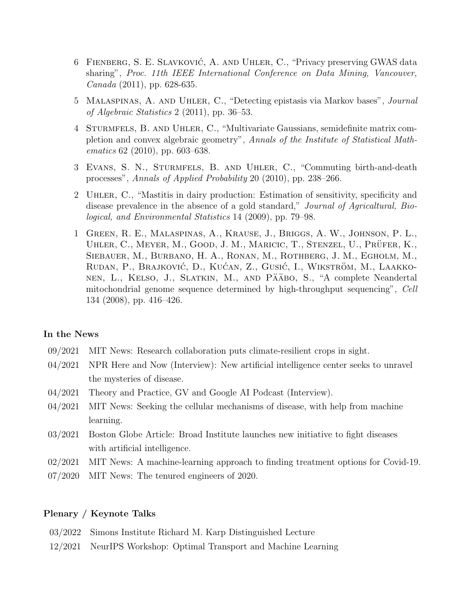- 6 FIENBERG, S. E. SLAVKOVIĆ, A. AND UHLER, C., "Privacy preserving GWAS data sharing", Proc. 11th IEEE International Conference on Data Mining, Vancouver, Canada (2011), pp. 628-635.
- 5 Malaspinas, A. and Uhler, C., "Detecting epistasis via Markov bases", Journal of Algebraic Statistics 2 (2011), pp. 36–53.
- 4 Sturmfels, B. and Uhler, C., "Multivariate Gaussians, semidefinite matrix completion and convex algebraic geometry", Annals of the Institute of Statistical Mathematics 62 (2010), pp. 603–638.
- 3 Evans, S. N., Sturmfels, B. and Uhler, C., "Commuting birth-and-death processes", Annals of Applied Probability 20 (2010), pp. 238–266.
- 2 Uhler, C., "Mastitis in dairy production: Estimation of sensitivity, specificity and disease prevalence in the absence of a gold standard," Journal of Agricaltural, Biological, and Environmental Statistics 14 (2009), pp. 79–98.
- 1 Green, R. E., Malaspinas, A., Krause, J., Briggs, A. W., Johnson, P. L., UHLER, C., MEYER, M., GOOD, J. M., MARICIC, T., STENZEL, U., PRÜFER, K., Siebauer, M., Burbano, H. A., Ronan, M., Rothberg, J. M., Egholm, M., RUDAN, P., BRAJKOVIĆ, D., KUĆAN, Z., GUSIĆ, I., WIKSTRÖM, M., LAAKKOnen, L., Kelso, J., Slatkin, M., and Pääbo, S., "A complete Neandertal mitochondrial genome sequence determined by high-throughput sequencing", Cell 134 (2008), pp. 416–426.

#### In the News

- 09/2021 MIT News: Research collaboration puts climate-resilient crops in sight.
- 04/2021 NPR Here and Now (Interview): New artificial intelligence center seeks to unravel the mysteries of disease.
- 04/2021 Theory and Practice, GV and Google AI Podcast (Interview).
- 04/2021 MIT News: Seeking the cellular mechanisms of disease, with help from machine learning.
- 03/2021 Boston Globe Article: Broad Institute launches new initiative to fight diseases with artificial intelligence.
- 02/2021 MIT News: A machine-learning approach to finding treatment options for Covid-19.
- 07/2020 MIT News: The tenured engineers of 2020.

#### Plenary / Keynote Talks

- 03/2022 Simons Institute Richard M. Karp Distinguished Lecture
- 12/2021 NeurIPS Workshop: Optimal Transport and Machine Learning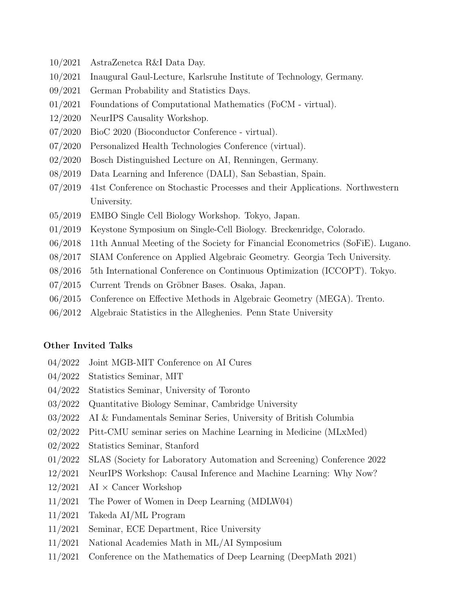- 10/2021 AstraZenetca R&I Data Day.
- 10/2021 Inaugural Gaul-Lecture, Karlsruhe Institute of Technology, Germany.
- 09/2021 German Probability and Statistics Days.
- 01/2021 Foundations of Computational Mathematics (FoCM virtual).
- 12/2020 NeurIPS Causality Workshop.
- 07/2020 BioC 2020 (Bioconductor Conference virtual).
- 07/2020 Personalized Health Technologies Conference (virtual).
- 02/2020 Bosch Distinguished Lecture on AI, Renningen, Germany.
- 08/2019 Data Learning and Inference (DALI), San Sebastian, Spain.
- 07/2019 41st Conference on Stochastic Processes and their Applications. Northwestern University.
- 05/2019 EMBO Single Cell Biology Workshop. Tokyo, Japan.
- 01/2019 Keystone Symposium on Single-Cell Biology. Breckenridge, Colorado.
- 06/2018 11th Annual Meeting of the Society for Financial Econometrics (SoFiE). Lugano.
- 08/2017 SIAM Conference on Applied Algebraic Geometry. Georgia Tech University.
- 08/2016 5th International Conference on Continuous Optimization (ICCOPT). Tokyo.
- 07/2015 Current Trends on Gröbner Bases. Osaka, Japan.
- 06/2015 Conference on Effective Methods in Algebraic Geometry (MEGA). Trento.
- 06/2012 Algebraic Statistics in the Alleghenies. Penn State University

#### Other Invited Talks

- 04/2022 Joint MGB-MIT Conference on AI Cures
- 04/2022 Statistics Seminar, MIT
- 04/2022 Statistics Seminar, University of Toronto
- 03/2022 Quantitative Biology Seminar, Cambridge University
- 03/2022 AI & Fundamentals Seminar Series, University of British Columbia
- 02/2022 Pitt-CMU seminar series on Machine Learning in Medicine (MLxMed)
- 02/2022 Statistics Seminar, Stanford
- 01/2022 SLAS (Society for Laboratory Automation and Screening) Conference 2022
- 12/2021 NeurIPS Workshop: Causal Inference and Machine Learning: Why Now?
- $12/2021$  AI  $\times$  Cancer Workshop
- 11/2021 The Power of Women in Deep Learning (MDLW04)
- 11/2021 Takeda AI/ML Program
- 11/2021 Seminar, ECE Department, Rice University
- 11/2021 National Academies Math in ML/AI Symposium
- 11/2021 Conference on the Mathematics of Deep Learning (DeepMath 2021)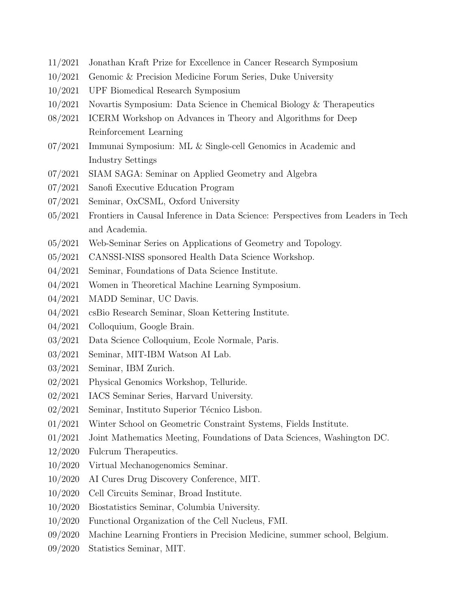- 11/2021 Jonathan Kraft Prize for Excellence in Cancer Research Symposium
- 10/2021 Genomic & Precision Medicine Forum Series, Duke University
- 10/2021 UPF Biomedical Research Symposium
- 10/2021 Novartis Symposium: Data Science in Chemical Biology & Therapeutics
- 08/2021 ICERM Workshop on Advances in Theory and Algorithms for Deep Reinforcement Learning
- 07/2021 Immunai Symposium: ML & Single-cell Genomics in Academic and Industry Settings
- 07/2021 SIAM SAGA: Seminar on Applied Geometry and Algebra
- 07/2021 Sanofi Executive Education Program
- 07/2021 Seminar, OxCSML, Oxford University
- 05/2021 Frontiers in Causal Inference in Data Science: Perspectives from Leaders in Tech and Academia.
- 05/2021 Web-Seminar Series on Applications of Geometry and Topology.
- 05/2021 CANSSI-NISS sponsored Health Data Science Workshop.
- 04/2021 Seminar, Foundations of Data Science Institute.
- 04/2021 Women in Theoretical Machine Learning Symposium.
- 04/2021 MADD Seminar, UC Davis.
- 04/2021 csBio Research Seminar, Sloan Kettering Institute.
- 04/2021 Colloquium, Google Brain.
- 03/2021 Data Science Colloquium, Ecole Normale, Paris.
- 03/2021 Seminar, MIT-IBM Watson AI Lab.
- 03/2021 Seminar, IBM Zurich.
- 02/2021 Physical Genomics Workshop, Telluride.
- 02/2021 IACS Seminar Series, Harvard University.
- $02/2021$  Seminar, Instituto Superior Técnico Lisbon.
- 01/2021 Winter School on Geometric Constraint Systems, Fields Institute.
- 01/2021 Joint Mathematics Meeting, Foundations of Data Sciences, Washington DC.
- 12/2020 Fulcrum Therapeutics.
- 10/2020 Virtual Mechanogenomics Seminar.
- 10/2020 AI Cures Drug Discovery Conference, MIT.
- 10/2020 Cell Circuits Seminar, Broad Institute.
- 10/2020 Biostatistics Seminar, Columbia University.
- 10/2020 Functional Organization of the Cell Nucleus, FMI.
- 09/2020 Machine Learning Frontiers in Precision Medicine, summer school, Belgium.
- 09/2020 Statistics Seminar, MIT.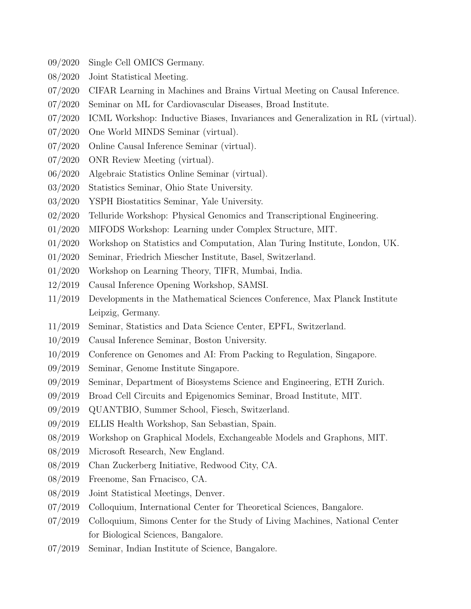- 09/2020 Single Cell OMICS Germany.
- 08/2020 Joint Statistical Meeting.
- 07/2020 CIFAR Learning in Machines and Brains Virtual Meeting on Causal Inference.
- 07/2020 Seminar on ML for Cardiovascular Diseases, Broad Institute.
- 07/2020 ICML Workshop: Inductive Biases, Invariances and Generalization in RL (virtual).
- 07/2020 One World MINDS Seminar (virtual).
- 07/2020 Online Causal Inference Seminar (virtual).
- 07/2020 ONR Review Meeting (virtual).
- 06/2020 Algebraic Statistics Online Seminar (virtual).
- 03/2020 Statistics Seminar, Ohio State University.
- 03/2020 YSPH Biostatitics Seminar, Yale University.
- 02/2020 Telluride Workshop: Physical Genomics and Transcriptional Engineering.
- 01/2020 MIFODS Workshop: Learning under Complex Structure, MIT.
- 01/2020 Workshop on Statistics and Computation, Alan Turing Institute, London, UK.
- 01/2020 Seminar, Friedrich Miescher Institute, Basel, Switzerland.
- 01/2020 Workshop on Learning Theory, TIFR, Mumbai, India.
- 12/2019 Causal Inference Opening Workshop, SAMSI.
- 11/2019 Developments in the Mathematical Sciences Conference, Max Planck Institute Leipzig, Germany.
- 11/2019 Seminar, Statistics and Data Science Center, EPFL, Switzerland.
- 10/2019 Causal Inference Seminar, Boston University.
- 10/2019 Conference on Genomes and AI: From Packing to Regulation, Singapore.
- 09/2019 Seminar, Genome Institute Singapore.
- 09/2019 Seminar, Department of Biosystems Science and Engineering, ETH Zurich.
- 09/2019 Broad Cell Circuits and Epigenomics Seminar, Broad Institute, MIT.
- 09/2019 QUANTBIO, Summer School, Fiesch, Switzerland.
- 09/2019 ELLIS Health Workshop, San Sebastian, Spain.
- 08/2019 Workshop on Graphical Models, Exchangeable Models and Graphons, MIT.
- 08/2019 Microsoft Research, New England.
- 08/2019 Chan Zuckerberg Initiative, Redwood City, CA.
- 08/2019 Freenome, San Frnacisco, CA.
- 08/2019 Joint Statistical Meetings, Denver.
- 07/2019 Colloquium, International Center for Theoretical Sciences, Bangalore.
- 07/2019 Colloquium, Simons Center for the Study of Living Machines, National Center for Biological Sciences, Bangalore.
- 07/2019 Seminar, Indian Institute of Science, Bangalore.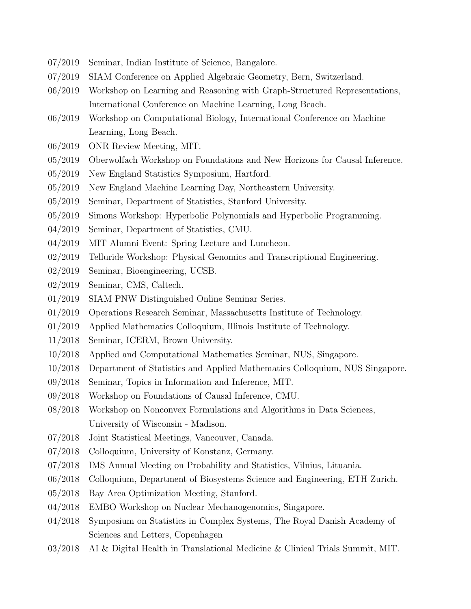- 07/2019 Seminar, Indian Institute of Science, Bangalore.
- 07/2019 SIAM Conference on Applied Algebraic Geometry, Bern, Switzerland.
- 06/2019 Workshop on Learning and Reasoning with Graph-Structured Representations, International Conference on Machine Learning, Long Beach.
- 06/2019 Workshop on Computational Biology, International Conference on Machine Learning, Long Beach.
- 06/2019 ONR Review Meeting, MIT.
- 05/2019 Oberwolfach Workshop on Foundations and New Horizons for Causal Inference.
- 05/2019 New England Statistics Symposium, Hartford.
- 05/2019 New England Machine Learning Day, Northeastern University.
- 05/2019 Seminar, Department of Statistics, Stanford University.
- 05/2019 Simons Workshop: Hyperbolic Polynomials and Hyperbolic Programming.
- 04/2019 Seminar, Department of Statistics, CMU.
- 04/2019 MIT Alumni Event: Spring Lecture and Luncheon.
- 02/2019 Telluride Workshop: Physical Genomics and Transcriptional Engineering.
- 02/2019 Seminar, Bioengineering, UCSB.
- 02/2019 Seminar, CMS, Caltech.
- 01/2019 SIAM PNW Distinguished Online Seminar Series.
- 01/2019 Operations Research Seminar, Massachusetts Institute of Technology.
- 01/2019 Applied Mathematics Colloquium, Illinois Institute of Technology.
- 11/2018 Seminar, ICERM, Brown University.
- 10/2018 Applied and Computational Mathematics Seminar, NUS, Singapore.
- 10/2018 Department of Statistics and Applied Mathematics Colloquium, NUS Singapore.
- 09/2018 Seminar, Topics in Information and Inference, MIT.
- 09/2018 Workshop on Foundations of Causal Inference, CMU.
- 08/2018 Workshop on Nonconvex Formulations and Algorithms in Data Sciences, University of Wisconsin - Madison.
- 07/2018 Joint Statistical Meetings, Vancouver, Canada.
- 07/2018 Colloquium, University of Konstanz, Germany.
- 07/2018 IMS Annual Meeting on Probability and Statistics, Vilnius, Lituania.
- 06/2018 Colloquium, Department of Biosystems Science and Engineering, ETH Zurich.
- 05/2018 Bay Area Optimization Meeting, Stanford.
- 04/2018 EMBO Workshop on Nuclear Mechanogenomics, Singapore.
- 04/2018 Symposium on Statistics in Complex Systems, The Royal Danish Academy of Sciences and Letters, Copenhagen
- 03/2018 AI & Digital Health in Translational Medicine & Clinical Trials Summit, MIT.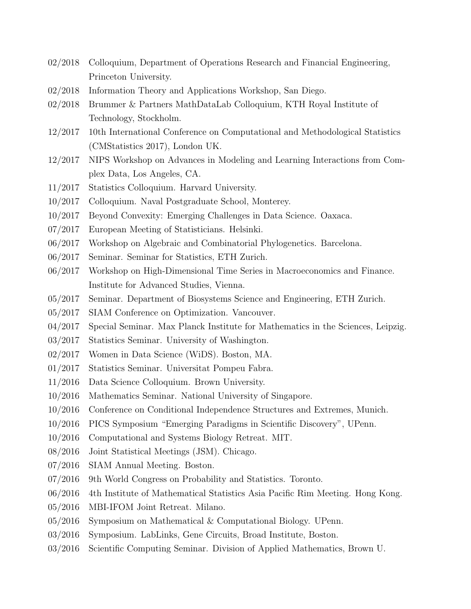- 02/2018 Colloquium, Department of Operations Research and Financial Engineering, Princeton University.
- 02/2018 Information Theory and Applications Workshop, San Diego.
- 02/2018 Brummer & Partners MathDataLab Colloquium, KTH Royal Institute of Technology, Stockholm.
- 12/2017 10th International Conference on Computational and Methodological Statistics (CMStatistics 2017), London UK.
- 12/2017 NIPS Workshop on Advances in Modeling and Learning Interactions from Complex Data, Los Angeles, CA.
- 11/2017 Statistics Colloquium. Harvard University.
- 10/2017 Colloquium. Naval Postgraduate School, Monterey.
- 10/2017 Beyond Convexity: Emerging Challenges in Data Science. Oaxaca.
- 07/2017 European Meeting of Statisticians. Helsinki.
- 06/2017 Workshop on Algebraic and Combinatorial Phylogenetics. Barcelona.
- 06/2017 Seminar. Seminar for Statistics, ETH Zurich.
- 06/2017 Workshop on High-Dimensional Time Series in Macroeconomics and Finance. Institute for Advanced Studies, Vienna.
- 05/2017 Seminar. Department of Biosystems Science and Engineering, ETH Zurich.
- 05/2017 SIAM Conference on Optimization. Vancouver.
- 04/2017 Special Seminar. Max Planck Institute for Mathematics in the Sciences, Leipzig.
- 03/2017 Statistics Seminar. University of Washington.
- 02/2017 Women in Data Science (WiDS). Boston, MA.
- 01/2017 Statistics Seminar. Universitat Pompeu Fabra.
- 11/2016 Data Science Colloquium. Brown University.
- 10/2016 Mathematics Seminar. National University of Singapore.
- 10/2016 Conference on Conditional Independence Structures and Extremes, Munich.
- 10/2016 PICS Symposium "Emerging Paradigms in Scientific Discovery", UPenn.
- 10/2016 Computational and Systems Biology Retreat. MIT.
- 08/2016 Joint Statistical Meetings (JSM). Chicago.
- 07/2016 SIAM Annual Meeting. Boston.
- 07/2016 9th World Congress on Probability and Statistics. Toronto.
- 06/2016 4th Institute of Mathematical Statistics Asia Pacific Rim Meeting. Hong Kong.
- 05/2016 MBI-IFOM Joint Retreat. Milano.
- 05/2016 Symposium on Mathematical & Computational Biology. UPenn.
- 03/2016 Symposium. LabLinks, Gene Circuits, Broad Institute, Boston.
- 03/2016 Scientific Computing Seminar. Division of Applied Mathematics, Brown U.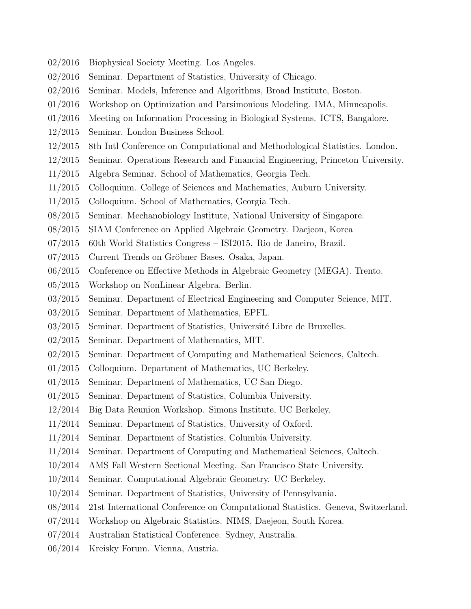- 02/2016 Biophysical Society Meeting. Los Angeles.
- 02/2016 Seminar. Department of Statistics, University of Chicago.
- 02/2016 Seminar. Models, Inference and Algorithms, Broad Institute, Boston.
- 01/2016 Workshop on Optimization and Parsimonious Modeling. IMA, Minneapolis.
- 01/2016 Meeting on Information Processing in Biological Systems. ICTS, Bangalore.
- 12/2015 Seminar. London Business School.
- 12/2015 8th Intl Conference on Computational and Methodological Statistics. London.
- 12/2015 Seminar. Operations Research and Financial Engineering, Princeton University.
- 11/2015 Algebra Seminar. School of Mathematics, Georgia Tech.
- 11/2015 Colloquium. College of Sciences and Mathematics, Auburn University.
- 11/2015 Colloquium. School of Mathematics, Georgia Tech.
- 08/2015 Seminar. Mechanobiology Institute, National University of Singapore.
- 08/2015 SIAM Conference on Applied Algebraic Geometry. Daejeon, Korea
- 07/2015 60th World Statistics Congress ISI2015. Rio de Janeiro, Brazil.
- 07/2015 Current Trends on Gröbner Bases. Osaka, Japan.
- 06/2015 Conference on Effective Methods in Algebraic Geometry (MEGA). Trento.
- 05/2015 Workshop on NonLinear Algebra. Berlin.
- 03/2015 Seminar. Department of Electrical Engineering and Computer Science, MIT.
- 03/2015 Seminar. Department of Mathematics, EPFL.
- $03/2015$  Seminar. Department of Statistics, Université Libre de Bruxelles.
- 02/2015 Seminar. Department of Mathematics, MIT.
- 02/2015 Seminar. Department of Computing and Mathematical Sciences, Caltech.
- 01/2015 Colloquium. Department of Mathematics, UC Berkeley.
- 01/2015 Seminar. Department of Mathematics, UC San Diego.
- 01/2015 Seminar. Department of Statistics, Columbia University.
- 12/2014 Big Data Reunion Workshop. Simons Institute, UC Berkeley.
- 11/2014 Seminar. Department of Statistics, University of Oxford.
- 11/2014 Seminar. Department of Statistics, Columbia University.
- 11/2014 Seminar. Department of Computing and Mathematical Sciences, Caltech.
- 10/2014 AMS Fall Western Sectional Meeting. San Francisco State University.
- 10/2014 Seminar. Computational Algebraic Geometry. UC Berkeley.
- 10/2014 Seminar. Department of Statistics, University of Pennsylvania.
- 08/2014 21st International Conference on Computational Statistics. Geneva, Switzerland.
- 07/2014 Workshop on Algebraic Statistics. NIMS, Daejeon, South Korea.
- 07/2014 Australian Statistical Conference. Sydney, Australia.
- 06/2014 Kreisky Forum. Vienna, Austria.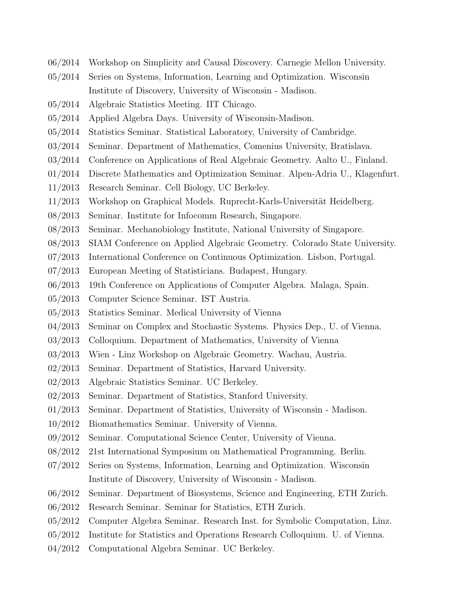- 06/2014 Workshop on Simplicity and Causal Discovery. Carnegie Mellon University.
- 05/2014 Series on Systems, Information, Learning and Optimization. Wisconsin Institute of Discovery, University of Wisconsin - Madison.
- 05/2014 Algebraic Statistics Meeting. IIT Chicago.
- 05/2014 Applied Algebra Days. University of Wisconsin-Madison.
- 05/2014 Statistics Seminar. Statistical Laboratory, University of Cambridge.
- 03/2014 Seminar. Department of Mathematics, Comenius University, Bratislava.
- 03/2014 Conference on Applications of Real Algebraic Geometry. Aalto U., Finland.
- 01/2014 Discrete Mathematics and Optimization Seminar. Alpen-Adria U., Klagenfurt.
- 11/2013 Research Seminar. Cell Biology, UC Berkeley.
- 11/2013 Workshop on Graphical Models. Ruprecht-Karls-Universität Heidelberg.
- 08/2013 Seminar. Institute for Infocomm Research, Singapore.
- 08/2013 Seminar. Mechanobiology Institute, National University of Singapore.
- 08/2013 SIAM Conference on Applied Algebraic Geometry. Colorado State University.
- 07/2013 International Conference on Continuous Optimization. Lisbon, Portugal.
- 07/2013 European Meeting of Statisticians. Budapest, Hungary.
- 06/2013 19th Conference on Applications of Computer Algebra. Malaga, Spain.
- 05/2013 Computer Science Seminar. IST Austria.
- 05/2013 Statistics Seminar. Medical University of Vienna
- 04/2013 Seminar on Complex and Stochastic Systems. Physics Dep., U. of Vienna.
- 03/2013 Colloquium. Department of Mathematics, University of Vienna
- 03/2013 Wien Linz Workshop on Algebraic Geometry. Wachau, Austria.
- 02/2013 Seminar. Department of Statistics, Harvard University.
- 02/2013 Algebraic Statistics Seminar. UC Berkeley.
- 02/2013 Seminar. Department of Statistics, Stanford University.
- 01/2013 Seminar. Department of Statistics, University of Wisconsin Madison.
- 10/2012 Biomathematics Seminar. University of Vienna.
- 09/2012 Seminar. Computational Science Center, University of Vienna.
- 08/2012 21st International Symposium on Mathematical Programming. Berlin.
- 07/2012 Series on Systems, Information, Learning and Optimization. Wisconsin Institute of Discovery, University of Wisconsin - Madison.
- 06/2012 Seminar. Department of Biosystems, Science and Engineering, ETH Zurich.
- 06/2012 Research Seminar. Seminar for Statistics, ETH Zurich.
- 05/2012 Computer Algebra Seminar. Research Inst. for Symbolic Computation, Linz.
- 05/2012 Institute for Statistics and Operations Research Colloquium. U. of Vienna.
- 04/2012 Computational Algebra Seminar. UC Berkeley.